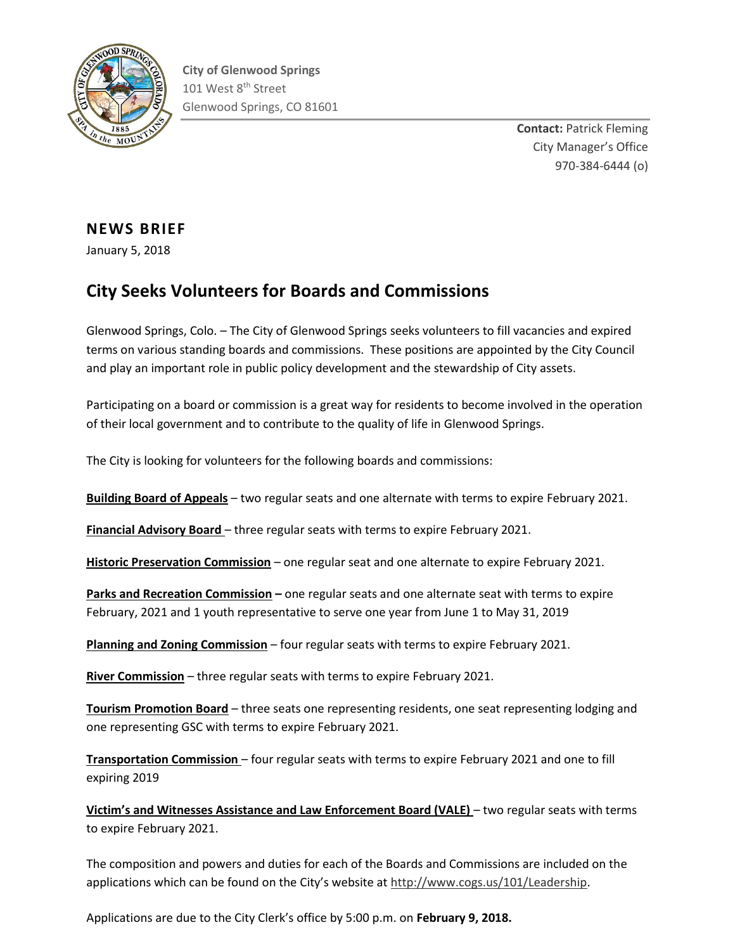

**Contact:** Patrick Fleming City Manager's Office 970-384-6444 (o)

## **NEWS BRIEF**

January 5, 2018

## **City Seeks Volunteers for Boards and Commissions**

Glenwood Springs, Colo. – The City of Glenwood Springs seeks volunteers to fill vacancies and expired terms on various standing boards and commissions. These positions are appointed by the City Council and play an important role in public policy development and the stewardship of City assets.

Participating on a board or commission is a great way for residents to become involved in the operation of their local government and to contribute to the quality of life in Glenwood Springs.

The City is looking for volunteers for the following boards and commissions:

**Building Board of Appeals** – two regular seats and one alternate with terms to expire February 2021.

**Financial Advisory Board** – three regular seats with terms to expire February 2021.

**Historic Preservation Commission** – one regular seat and one alternate to expire February 2021.

**Parks and Recreation Commission –** one regular seats and one alternate seat with terms to expire February, 2021 and 1 youth representative to serve one year from June 1 to May 31, 2019

**Planning and Zoning Commission** – four regular seats with terms to expire February 2021.

**River Commission** – three regular seats with terms to expire February 2021.

**Tourism Promotion Board** – three seats one representing residents, one seat representing lodging and one representing GSC with terms to expire February 2021.

**Transportation Commission** – four regular seats with terms to expire February 2021 and one to fill expiring 2019

**Victim's and Witnesses Assistance and Law Enforcement Board (VALE)** – two regular seats with terms to expire February 2021.

The composition and powers and duties for each of the Boards and Commissions are included on the applications which can be found on the City's website at [http://www.cogs.us/101/Leadership.](http://www.cogs.us/101/Leadership)

Applications are due to the City Clerk's office by 5:00 p.m. on **February 9, 2018.**